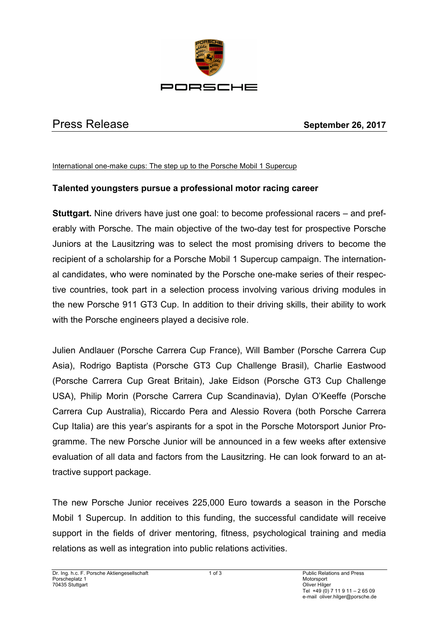

## Press Release **September 26, 2017**

## International one-make cups: The step up to the Porsche Mobil 1 Supercup

## **Talented youngsters pursue a professional motor racing career**

**Stuttgart.** Nine drivers have just one goal: to become professional racers – and preferably with Porsche. The main objective of the two-day test for prospective Porsche Juniors at the Lausitzring was to select the most promising drivers to become the recipient of a scholarship for a Porsche Mobil 1 Supercup campaign. The international candidates, who were nominated by the Porsche one-make series of their respective countries, took part in a selection process involving various driving modules in the new Porsche 911 GT3 Cup. In addition to their driving skills, their ability to work with the Porsche engineers played a decisive role.

Julien Andlauer (Porsche Carrera Cup France), Will Bamber (Porsche Carrera Cup Asia), Rodrigo Baptista (Porsche GT3 Cup Challenge Brasil), Charlie Eastwood (Porsche Carrera Cup Great Britain), Jake Eidson (Porsche GT3 Cup Challenge USA), Philip Morin (Porsche Carrera Cup Scandinavia), Dylan O'Keeffe (Porsche Carrera Cup Australia), Riccardo Pera and Alessio Rovera (both Porsche Carrera Cup Italia) are this year's aspirants for a spot in the Porsche Motorsport Junior Programme. The new Porsche Junior will be announced in a few weeks after extensive evaluation of all data and factors from the Lausitzring. He can look forward to an attractive support package.

The new Porsche Junior receives 225,000 Euro towards a season in the Porsche Mobil 1 Supercup. In addition to this funding, the successful candidate will receive support in the fields of driver mentoring, fitness, psychological training and media relations as well as integration into public relations activities.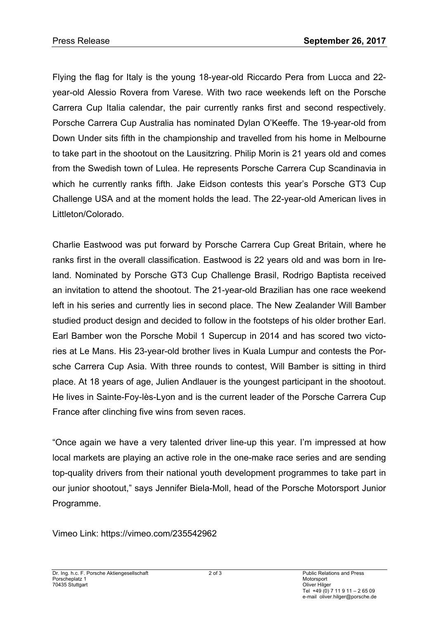Flying the flag for Italy is the young 18-year-old Riccardo Pera from Lucca and 22 year-old Alessio Rovera from Varese. With two race weekends left on the Porsche Carrera Cup Italia calendar, the pair currently ranks first and second respectively. Porsche Carrera Cup Australia has nominated Dylan O'Keeffe. The 19-year-old from Down Under sits fifth in the championship and travelled from his home in Melbourne to take part in the shootout on the Lausitzring. Philip Morin is 21 years old and comes from the Swedish town of Lulea. He represents Porsche Carrera Cup Scandinavia in which he currently ranks fifth. Jake Eidson contests this year's Porsche GT3 Cup Challenge USA and at the moment holds the lead. The 22-year-old American lives in Littleton/Colorado.

Charlie Eastwood was put forward by Porsche Carrera Cup Great Britain, where he ranks first in the overall classification. Eastwood is 22 years old and was born in Ireland. Nominated by Porsche GT3 Cup Challenge Brasil, Rodrigo Baptista received an invitation to attend the shootout. The 21-year-old Brazilian has one race weekend left in his series and currently lies in second place. The New Zealander Will Bamber studied product design and decided to follow in the footsteps of his older brother Earl. Earl Bamber won the Porsche Mobil 1 Supercup in 2014 and has scored two victories at Le Mans. His 23-year-old brother lives in Kuala Lumpur and contests the Porsche Carrera Cup Asia. With three rounds to contest, Will Bamber is sitting in third place. At 18 years of age, Julien Andlauer is the youngest participant in the shootout. He lives in Sainte-Foy-lès-Lyon and is the current leader of the Porsche Carrera Cup France after clinching five wins from seven races.

"Once again we have a very talented driver line-up this year. I'm impressed at how local markets are playing an active role in the one-make race series and are sending top-quality drivers from their national youth development programmes to take part in our junior shootout," says Jennifer Biela-Moll, head of the Porsche Motorsport Junior Programme.

Vimeo Link: https://vimeo.com/235542962